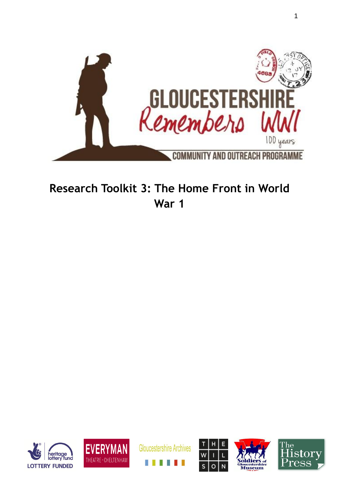

# **Research Toolkit 3: The Home Front in World War 1**











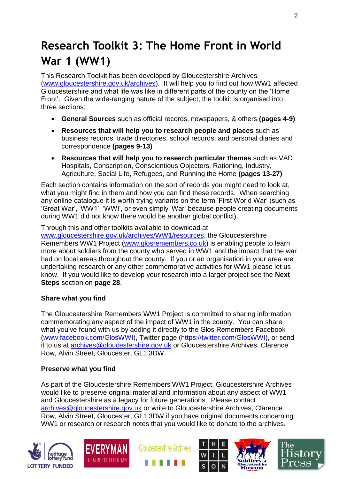# **Research Toolkit 3: The Home Front in World War 1 (WW1)**

This Research Toolkit has been developed by Gloucestershire Archives [\(www.gloucestershire.gov.uk/archives\)](http://www.gloucestershire.gov.uk/archives). It will help you to find out how WW1 affected Gloucestershire and what life was like in different parts of the county on the 'Home Front'. Given the wide-ranging nature of the subject, the toolkit is organised into three sections:

- **General Sources** such as official records, newspapers, & others **(pages 4-9)**
- **Resources that will help you to research people and places** such as business records, trade directories, school records, and personal diaries and correspondence **(pages 9-13)**
- **Resources that will help you to research particular themes** such as VAD Hospitals, Conscription, Conscientious Objectors, Rationing, Industry, Agriculture, Social Life, Refugees, and Running the Home **(pages 13-27)**

Each section contains information on the sort of records you might need to look at, what you might find in them and how you can find these records. When searching any online catalogue it is worth trying variants on the term 'First World War' (such as 'Great War', 'WW1', 'WWI', or even simply 'War' because people creating documents during WW1 did not know there would be another global conflict).

Through this and other toolkits available to download at [www.gloucestershire.gov.uk/archives/WW1/resources,](http://www.gloucestershire.gov.uk/archives/WW1/resources) the Gloucestershire Remembers WW1 Project [\(www.glosremembers.co.uk\)](http://www.glosremembers.co.uk/) is enabling people to learn more about soldiers from the county who served in WW1 and the impact that the war had on local areas throughout the county. If you or an organisation in your area are undertaking research or any other commemorative activities for WW1 please let us know. If you would like to develop your research into a larger project see the **Next Steps** section on **page 28**.

# **Share what you find**

The Gloucestershire Remembers WW1 Project is committed to sharing information commemorating any aspect of the impact of WW1 in the county. You can share what you've found with us by adding it directly to the Glos Remembers Facebook [\(www.facebook.com/GlosWWI\)](http://www.facebook.com/GlosWWI), Twitter page [\(https://twitter.com/GlosWWI\)](https://twitter.com/GlosWWI), or send it to us at [archives@gloucestershire.gov.uk](mailto:archives@gloucestershire.gov.uk) or Gloucestershire Archives, Clarence Row, Alvin Street, Gloucester, GL1 3DW.

## **Preserve what you find**

As part of the Gloucestershire Remembers WW1 Project, Gloucestershire Archives would like to preserve original material and information about any aspect of WW1 and Gloucestershire as a legacy for future generations. Please contact [archives@gloucestershire.gov.uk](mailto:archives@gloucestershire.gov.uk) or write to Gloucestershire Archives, Clarence Row, Alvin Street, Gloucester, GL1 3DW if you have original documents concerning WW1 or research or research notes that you would like to donate to the archives.











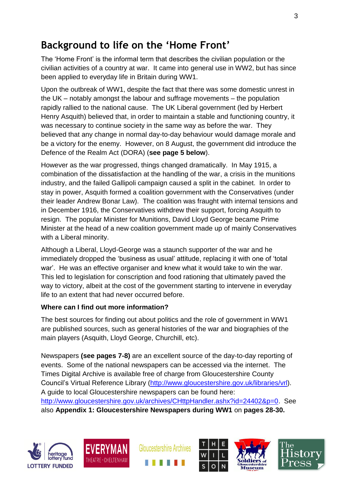# **Background to life on the 'Home Front'**

The 'Home Front' is the informal term that describes the civilian population or the civilian activities of a country at war. It came into general use in WW2, but has since been applied to everyday life in Britain during WW1.

Upon the outbreak of WW1, despite the fact that there was some domestic unrest in the UK – notably amongst the labour and suffrage movements – the population rapidly rallied to the national cause. The UK Liberal government (led by Herbert Henry Asquith) believed that, in order to maintain a stable and functioning country, it was necessary to continue society in the same way as before the war. They believed that any change in normal day-to-day behaviour would damage morale and be a victory for the enemy. However, on 8 August, the government did introduce the Defence of the Realm Act (DORA) (**see page 5 below**).

However as the war progressed, things changed dramatically. In May 1915, a combination of the dissatisfaction at the handling of the war, a crisis in the munitions industry, and the failed Gallipoli campaign caused a split in the cabinet. In order to stay in power, Asquith formed a coalition government with the Conservatives (under their leader Andrew Bonar Law). The coalition was fraught with internal tensions and in December 1916, the Conservatives withdrew their support, forcing Asquith to resign. The popular Minister for Munitions, David Lloyd George became Prime Minister at the head of a new coalition government made up of mainly Conservatives with a Liberal minority.

Although a Liberal, Lloyd-George was a staunch supporter of the war and he immediately dropped the 'business as usual' attitude, replacing it with one of 'total war'. He was an effective organiser and knew what it would take to win the war. This led to legislation for conscription and food rationing that ultimately paved the way to victory, albeit at the cost of the government starting to intervene in everyday life to an extent that had never occurred before.

## **Where can I find out more information?**

The best sources for finding out about politics and the role of government in WW1 are published sources, such as general histories of the war and biographies of the main players (Asquith, Lloyd George, Churchill, etc).

Newspapers **(see pages 7-8)** are an excellent source of the day-to-day reporting of events. Some of the national newspapers can be accessed via the internet. The Times Digital Archive is available free of charge from Gloucestershire County Council's Virtual Reference Library [\(http://www.gloucestershire.gov.uk/libraries/vrl\)](http://www.gloucestershire.gov.uk/libraries/vrl). A guide to local Gloucestershire newspapers can be found here: [http://www.gloucestershire.gov.uk/archives/CHttpHandler.ashx?id=24402&p=0.](http://www.gloucestershire.gov.uk/archives/CHttpHandler.ashx?id=24402&p=0) See also **Appendix 1: Gloucestershire Newspapers during WW1** on **pages 28-30.**











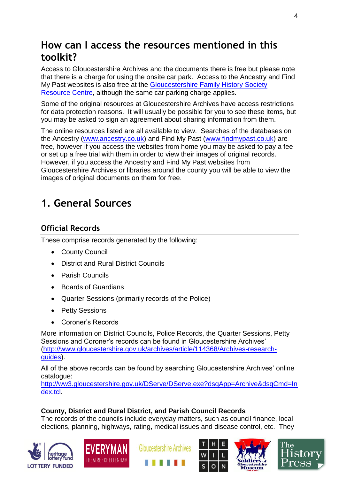# **How can I access the resources mentioned in this toolkit?**

Access to Gloucestershire Archives and the documents there is free but please note that there is a charge for using the onsite car park. Access to the Ancestry and Find My Past websites is also free at the [Gloucestershire Family History Society](http://gfhs.org.uk/the-family-history-centre/)  [Resource Centre,](http://gfhs.org.uk/the-family-history-centre/) although the same car parking charge applies.

Some of the original resources at Gloucestershire Archives have access restrictions for data protection reasons. It will usually be possible for you to see these items, but you may be asked to sign an agreement about sharing information from them.

The online resources listed are all available to view. Searches of the databases on the Ancestry [\(www.ancestry.co.uk\)](http://www.ancestry.co.uk/) and Find My Past [\(www.findmypast.co.uk\)](http://www.findmypast.co.uk/) are free, however if you access the websites from home you may be asked to pay a fee or set up a free trial with them in order to view their images of original records. However, if you access the Ancestry and Find My Past websites from Gloucestershire Archives or libraries around the county you will be able to view the images of original documents on them for free.

# **1. General Sources**

# **Official Records**

These comprise records generated by the following:

- County Council
- District and Rural District Councils
- Parish Councils
- Boards of Guardians
- Quarter Sessions (primarily records of the Police)
- Petty Sessions
- Coroner's Records

More information on District Councils, Police Records, the Quarter Sessions, Petty Sessions and Coroner's records can be found in Gloucestershire Archives' [\(http://www.gloucestershire.gov.uk/archives/article/114368/Archives-research](http://www.gloucestershire.gov.uk/archives/article/114368/Archives-research-guides)[guides\)](http://www.gloucestershire.gov.uk/archives/article/114368/Archives-research-guides).

All of the above records can be found by searching Gloucestershire Archives' online catalogue:

[http://ww3.gloucestershire.gov.uk/DServe/DServe.exe?dsqApp=Archive&dsqCmd=In](http://ww3.gloucestershire.gov.uk/DServe/DServe.exe?dsqApp=Archive&dsqCmd=Index.tcl) [dex.tcl.](http://ww3.gloucestershire.gov.uk/DServe/DServe.exe?dsqApp=Archive&dsqCmd=Index.tcl)

# **County, District and Rural District, and Parish Council Records**

The records of the councils include everyday matters, such as council finance, local elections, planning, highways, rating, medical issues and disease control, etc. They











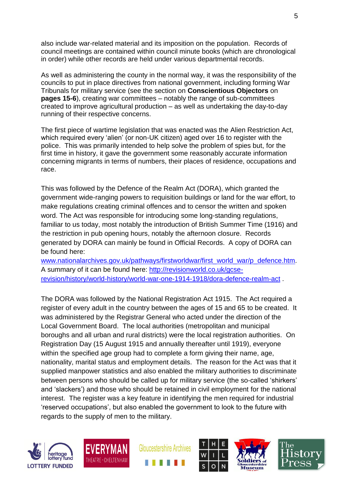also include war-related material and its imposition on the population. Records of council meetings are contained within council minute books (which are chronological in order) while other records are held under various departmental records.

As well as administering the county in the normal way, it was the responsibility of the councils to put in place directives from national government, including forming War Tribunals for military service (see the section on **Conscientious Objectors** on **pages 15-6**), creating war committees – notably the range of sub-committees created to improve agricultural production – as well as undertaking the day-to-day running of their respective concerns.

The first piece of wartime legislation that was enacted was the Alien Restriction Act, which required every 'alien' (or non-UK citizen) aged over 16 to register with the police. This was primarily intended to help solve the problem of spies but, for the first time in history, it gave the government some reasonably accurate information concerning migrants in terms of numbers, their places of residence, occupations and race.

This was followed by the Defence of the Realm Act (DORA), which granted the government wide-ranging powers to requisition buildings or land for the war effort, to make regulations creating criminal offences and to censor the written and spoken word. The Act was responsible for introducing some long-standing regulations, familiar to us today, most notably the introduction of British Summer Time (1916) and the restriction in pub opening hours, notably the afternoon closure. Records generated by DORA can mainly be found in Official Records. A copy of DORA can be found here:

[www.nationalarchives.gov.uk/pathways/firstworldwar/first\\_world\\_war/p\\_defence.htm.](http://www.nationalarchives.gov.uk/pathways/firstworldwar/first_world_war/p_defence.htm) A summary of it can be found here: [http://revisionworld.co.uk/gcse](http://revisionworld.co.uk/gcse-revision/history/world-history/world-war-one-1914-1918/dora-defence-realm-act)[revision/history/world-history/world-war-one-1914-1918/dora-defence-realm-act](http://revisionworld.co.uk/gcse-revision/history/world-history/world-war-one-1914-1918/dora-defence-realm-act) .

The DORA was followed by the National Registration Act 1915. The Act required a register of every adult in the country between the ages of 15 and 65 to be created. It was administered by the Registrar General who acted under the direction of the Local Government Board. The local authorities (metropolitan and municipal boroughs and all urban and rural districts) were the local registration authorities. On Registration Day (15 August 1915 and annually thereafter until 1919), everyone within the specified age group had to complete a form giving their name, age, nationality, marital status and employment details. The reason for the Act was that it supplied manpower statistics and also enabled the military authorities to discriminate between persons who should be called up for military service (the so-called 'shirkers' and 'slackers') and those who should be retained in civil employment for the national interest. The register was a key feature in identifying the men required for industrial 'reserved occupations', but also enabled the government to look to the future with regards to the supply of men to the military.











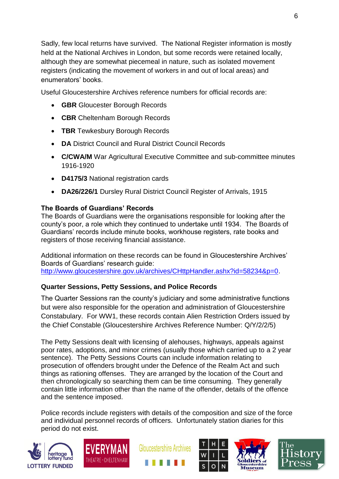Sadly, few local returns have survived. The National Register information is mostly held at the National Archives in London, but some records were retained locally, although they are somewhat piecemeal in nature, such as isolated movement registers (indicating the movement of workers in and out of local areas) and enumerators' books.

Useful Gloucestershire Archives reference numbers for official records are:

- **GBR** Gloucester Borough Records
- **CBR** Cheltenham Borough Records
- **TBR** Tewkesbury Borough Records
- **DA** District Council and Rural District Council Records
- **C/CWA/M** War Agricultural Executive Committee and sub-committee minutes 1916-1920
- **D4175/3** National registration cards
- **DA26/226/1** Dursley Rural District Council Register of Arrivals, 1915

# **The Boards of Guardians' Records**

The Boards of Guardians were the organisations responsible for looking after the county's poor, a role which they continued to undertake until 1934. The Boards of Guardians' records include minute books, workhouse registers, rate books and registers of those receiving financial assistance.

Additional information on these records can be found in Gloucestershire Archives' Boards of Guardians' research guide: [http://www.gloucestershire.gov.uk/archives/CHttpHandler.ashx?id=58234&p=0.](http://www.gloucestershire.gov.uk/archives/CHttpHandler.ashx?id=58234&p=0)

# **Quarter Sessions, Petty Sessions, and Police Records**

The Quarter Sessions ran the county's judiciary and some administrative functions but were also responsible for the operation and administration of Gloucestershire Constabulary. For WW1, these records contain Alien Restriction Orders issued by the Chief Constable (Gloucestershire Archives Reference Number: Q/Y/2/2/5)

The Petty Sessions dealt with licensing of alehouses, highways, appeals against poor rates, adoptions, and minor crimes (usually those which carried up to a 2 year sentence). The Petty Sessions Courts can include information relating to prosecution of offenders brought under the Defence of the Realm Act and such things as rationing offenses. They are arranged by the location of the Court and then chronologically so searching them can be time consuming. They generally contain little information other than the name of the offender, details of the offence and the sentence imposed.

Police records include registers with details of the composition and size of the force and individual personnel records of officers. Unfortunately station diaries for this period do not exist.











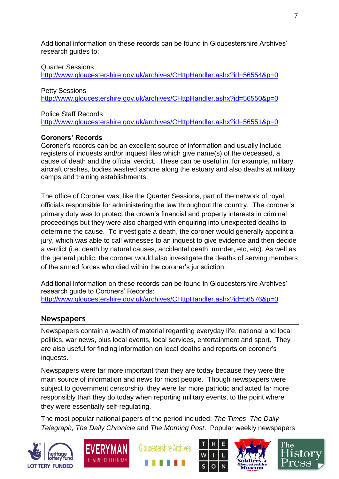Additional information on these records can be found in Gloucestershire Archives' research guides to:

Quarter Sessions

<http://www.gloucestershire.gov.uk/archives/CHttpHandler.ashx?id=56554&p=0>

Petty Sessions <http://www.gloucestershire.gov.uk/archives/CHttpHandler.ashx?id=56550&p=0>

Police Staff Records

<http://www.gloucestershire.gov.uk/archives/CHttpHandler.ashx?id=56551&p=0>

#### **Coroners' Records**

Coroner's records can be an excellent source of information and usually include registers of inquests and/or inquest files which give name(s) of the deceased, a cause of death and the official verdict. These can be useful in, for example, military aircraft crashes, bodies washed ashore along the estuary and also deaths at military camps and training establishments.

The office of Coroner was, like the Quarter Sessions, part of the network of royal officials responsible for administering the law throughout the country. The coroner's primary duty was to protect the crown's financial and property interests in criminal proceedings but they were also charged with enquiring into unexpected deaths to determine the cause. To investigate a death, the coroner would generally appoint a jury, which was able to call witnesses to an inquest to give evidence and then decide a verdict (i.e. death by natural causes, accidental death, murder, etc, etc). As well as the general public, the coroner would also investigate the deaths of serving members of the armed forces who died within the coroner's jurisdiction.

Additional information on these records can be found in Gloucestershire Archives' research guide to Coroners' Records: <http://www.gloucestershire.gov.uk/archives/CHttpHandler.ashx?id=56576&p=0>

# **Newspapers**

Newspapers contain a wealth of material regarding everyday life, national and local politics, war news, plus local events, local services, entertainment and sport. They are also useful for finding information on local deaths and reports on coroner's inquests.

Newspapers were far more important than they are today because they were the main source of information and news for most people. Though newspapers were subject to government censorship, they were far more patriotic and acted far more responsibly than they do today when reporting military events, to the point where they were essentially self-regulating.

The most popular national papers of the period included: *The Times*, *The Daily Telegraph, The Daily Chronicle* and *The Morning Post*. Popular weekly newspapers











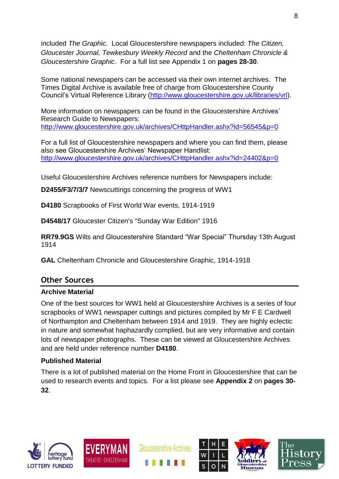included *The Graphic.* Local Gloucestershire newspapers included: *The Citizen, Gloucester Journal, Tewkesbury Weekly Record* and the *Cheltenham Chronicle & Gloucestershire Graphic*. For a full list see Appendix 1 on **pages 28-30**.

Some national newspapers can be accessed via their own internet archives. The Times Digital Archive is available free of charge from Gloucestershire County Council's Virtual Reference Library [\(http://www.gloucestershire.gov.uk/libraries/vrl\)](http://www.gloucestershire.gov.uk/libraries/vrl).

More information on newspapers can be found in the Gloucestershire Archives' Research Guide to Newspapers: <http://www.gloucestershire.gov.uk/archives/CHttpHandler.ashx?id=56545&p=0>

For a full list of Gloucestershire newspapers and where you can find them, please also see Gloucestershire Archives' Newspaper Handlist: <http://www.gloucestershire.gov.uk/archives/CHttpHandler.ashx?id=24402&p=0>

Useful Gloucestershire Archives reference numbers for Newspapers include:

**D2455/F3/7/3/7** Newscuttings concerning the progress of WW1

**D4180** Scrapbooks of First World War events, 1914-1919

**D4548/17** Gloucester Citizen's "Sunday War Edition" 1916

**RR79.9GS** Wilts and Gloucestershire Standard "War Special" Thursday 13th August 1914

**GAL** Cheltenham Chronicle and Gloucestershire Graphic, 1914-1918

# **Other Sources**

## **Archive Material**

One of the best sources for WW1 held at Gloucestershire Archives is a series of four scrapbooks of WW1 newspaper cuttings and pictures compiled by Mr F E Cardwell of Northampton and Cheltenham between 1914 and 1919. They are highly eclectic in nature and somewhat haphazardly complied, but are very informative and contain lots of newspaper photographs. These can be viewed at Gloucestershire Archives and are held under reference number **D4180**.

## **Published Material**

There is a lot of published material on the Home Front in Gloucestershire that can be used to research events and topics. For a list please see **Appendix 2** on **pages 30- 32**.





**Gloucestershire Archives** 



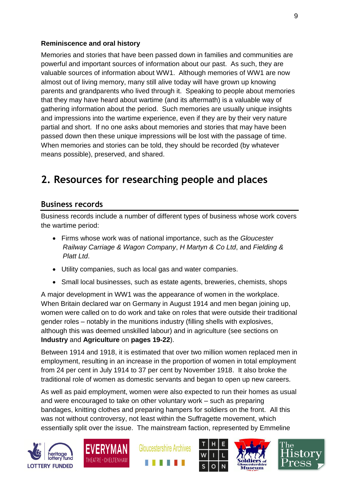## **Reminiscence and oral history**

Memories and stories that have been passed down in families and communities are powerful and important sources of information about our past. As such, they are valuable sources of information about WW1. Although memories of WW1 are now almost out of living memory, many still alive today will have grown up knowing parents and grandparents who lived through it. Speaking to people about memories that they may have heard about wartime (and its aftermath) is a valuable way of gathering information about the period. Such memories are usually unique insights and impressions into the wartime experience, even if they are by their very nature partial and short. If no one asks about memories and stories that may have been passed down then these unique impressions will be lost with the passage of time. When memories and stories can be told, they should be recorded (by whatever means possible), preserved, and shared.

# **2. Resources for researching people and places**

# **Business records**

Business records include a number of different types of business whose work covers the wartime period:

- Firms whose work was of national importance, such as the *Gloucester Railway Carriage & Wagon Company*, *H Martyn & Co Ltd*, and *Fielding & Platt Ltd*.
- Utility companies, such as local gas and water companies.
- Small local businesses, such as estate agents, breweries, chemists, shops

A major development in WW1 was the appearance of women in the workplace. When Britain declared war on Germany in August 1914 and men began joining up, women were called on to do work and take on roles that were outside their traditional gender roles – notably in the munitions industry (filling shells with explosives, although this was deemed unskilled labour) and in agriculture (see sections on **Industry** and **Agriculture** on **pages 19-22**).

Between 1914 and 1918, it is estimated that over two million women replaced men in employment, resulting in an increase in the proportion of women in total employment from 24 per cent in July 1914 to 37 per cent by November 1918. It also broke the traditional role of women as domestic servants and began to open up new careers.

As well as paid employment, women were also expected to run their homes as usual and were encouraged to take on other voluntary work – such as preparing bandages, knitting clothes and preparing hampers for soldiers on the front. All this was not without controversy, not least within the Suffragette movement, which essentially split over the issue. The mainstream faction, represented by Emmeline











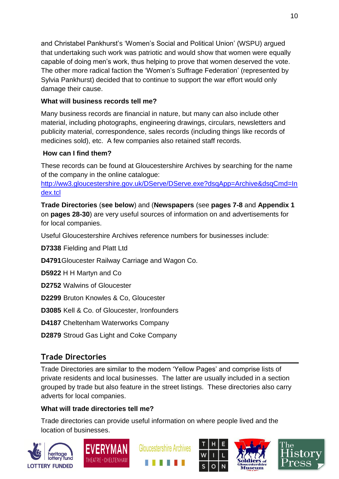and Christabel Pankhurst's 'Women's Social and Political Union' (WSPU) argued that undertaking such work was patriotic and would show that women were equally capable of doing men's work, thus helping to prove that women deserved the vote. The other more radical faction the 'Women's Suffrage Federation' (represented by Sylvia Pankhurst) decided that to continue to support the war effort would only damage their cause.

# **What will business records tell me?**

Many business records are financial in nature, but many can also include other material, including photographs, engineering drawings, circulars, newsletters and publicity material, correspondence, sales records (including things like records of medicines sold), etc. A few companies also retained staff records.

# **How can I find them?**

These records can be found at Gloucestershire Archives by searching for the name of the company in the online catalogue:

[http://ww3.gloucestershire.gov.uk/DServe/DServe.exe?dsqApp=Archive&dsqCmd=In](http://ww3.gloucestershire.gov.uk/DServe/DServe.exe?dsqApp=Archive&dsqCmd=Index.tcl) [dex.tcl](http://ww3.gloucestershire.gov.uk/DServe/DServe.exe?dsqApp=Archive&dsqCmd=Index.tcl)

**Trade Directories** (**see below**) and (**Newspapers** (see **pages 7-8** and **Appendix 1** on **pages 28-30**) are very useful sources of information on and advertisements for for local companies.

Useful Gloucestershire Archives reference numbers for businesses include:

**D7338** Fielding and Platt Ltd

**D4791**Gloucester Railway Carriage and Wagon Co.

**D5922** H H Martyn and Co

**D2752** Walwins of Gloucester

**D2299** Bruton Knowles & Co, Gloucester

**D3085** Kell & Co. of Gloucester, Ironfounders

**D4187** Cheltenham Waterworks Company

**D2879** Stroud Gas Light and Coke Company

# **Trade Directories**

Trade Directories are similar to the modern 'Yellow Pages' and comprise lists of private residents and local businesses. The latter are usually included in a section grouped by trade but also feature in the street listings. These directories also carry adverts for local companies.

# **What will trade directories tell me?**

Trade directories can provide useful information on where people lived and the location of businesses.











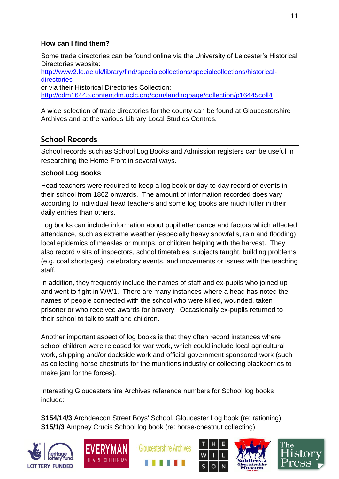## **How can I find them?**

Some trade directories can be found online via the University of Leicester's Historical Directories website: [http://www2.le.ac.uk/library/find/specialcollections/specialcollections/historical](http://www2.le.ac.uk/library/find/specialcollections/specialcollections/historical-directories)[directories](http://www2.le.ac.uk/library/find/specialcollections/specialcollections/historical-directories) or via their Historical Directories Collection: <http://cdm16445.contentdm.oclc.org/cdm/landingpage/collection/p16445coll4>

A wide selection of trade directories for the county can be found at Gloucestershire Archives and at the various Library Local Studies Centres.

# **School Records**

School records such as School Log Books and Admission registers can be useful in researching the Home Front in several ways.

# **School Log Books**

Head teachers were required to keep a log book or day-to-day record of events in their school from 1862 onwards. The amount of information recorded does vary according to individual head teachers and some log books are much fuller in their daily entries than others.

Log books can include information about pupil attendance and factors which affected attendance, such as extreme weather (especially heavy snowfalls, rain and flooding), local epidemics of measles or mumps, or children helping with the harvest. They also record visits of inspectors, school timetables, subjects taught, building problems (e.g. coal shortages), celebratory events, and movements or issues with the teaching staff.

In addition, they frequently include the names of staff and ex-pupils who joined up and went to fight in WW1. There are many instances where a head has noted the names of people connected with the school who were killed, wounded, taken prisoner or who received awards for bravery. Occasionally ex-pupils returned to their school to talk to staff and children.

Another important aspect of log books is that they often record instances where school children were released for war work, which could include local agricultural work, shipping and/or dockside work and official government sponsored work (such as collecting horse chestnuts for the munitions industry or collecting blackberries to make jam for the forces).

Interesting Gloucestershire Archives reference numbers for School log books include:

**S154/14/3** Archdeacon Street Boys' School, Gloucester Log book (re: rationing) **S15/1/3** Ampney Crucis School log book (re: horse-chestnut collecting)











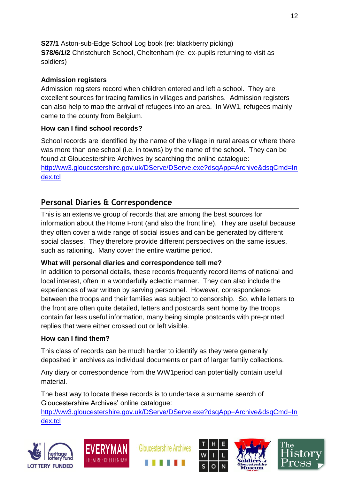**S27/1** Aston-sub-Edge School Log book (re: blackberry picking) **S78/6/1/2** Christchurch School, Cheltenham (re: ex-pupils returning to visit as soldiers)

# **Admission registers**

Admission registers record when children entered and left a school. They are excellent sources for tracing families in villages and parishes. Admission registers can also help to map the arrival of refugees into an area. In WW1, refugees mainly came to the county from Belgium.

# **How can I find school records?**

School records are identified by the name of the village in rural areas or where there was more than one school (i.e. in towns) by the name of the school. They can be found at Gloucestershire Archives by searching the online catalogue: [http://ww3.gloucestershire.gov.uk/DServe/DServe.exe?dsqApp=Archive&dsqCmd=In](http://ww3.gloucestershire.gov.uk/DServe/DServe.exe?dsqApp=Archive&dsqCmd=Index.tcl) [dex.tcl](http://ww3.gloucestershire.gov.uk/DServe/DServe.exe?dsqApp=Archive&dsqCmd=Index.tcl)

# **Personal Diaries & Correspondence**

This is an extensive group of records that are among the best sources for information about the Home Front (and also the front line). They are useful because they often cover a wide range of social issues and can be generated by different social classes. They therefore provide different perspectives on the same issues, such as rationing. Many cover the entire wartime period.

# **What will personal diaries and correspondence tell me?**

In addition to personal details, these records frequently record items of national and local interest, often in a wonderfully eclectic manner. They can also include the experiences of war written by serving personnel. However, correspondence between the troops and their families was subject to censorship. So, while letters to the front are often quite detailed, letters and postcards sent home by the troops contain far less useful information, many being simple postcards with pre-printed replies that were either crossed out or left visible.

# **How can I find them?**

This class of records can be much harder to identify as they were generally deposited in archives as individual documents or part of larger family collections.

Any diary or correspondence from the WW1period can potentially contain useful material.

The best way to locate these records is to undertake a surname search of Gloucestershire Archives' online catalogue:

[http://ww3.gloucestershire.gov.uk/DServe/DServe.exe?dsqApp=Archive&dsqCmd=In](http://ww3.gloucestershire.gov.uk/DServe/DServe.exe?dsqApp=Archive&dsqCmd=Index.tcl) [dex.tcl](http://ww3.gloucestershire.gov.uk/DServe/DServe.exe?dsqApp=Archive&dsqCmd=Index.tcl)









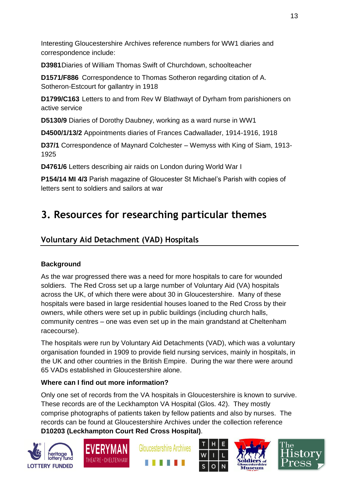Interesting Gloucestershire Archives reference numbers for WW1 diaries and correspondence include:

**D3981**Diaries of William Thomas Swift of Churchdown, schoolteacher

**D1571/F886** Correspondence to Thomas Sotheron regarding citation of A. Sotheron-Estcourt for gallantry in 1918

**D1799/C163** Letters to and from Rev W Blathwayt of Dyrham from parishioners on active service

**D5130/9** Diaries of Dorothy Daubney, working as a ward nurse in WW1

**D4500/1/13/2** Appointments diaries of Frances Cadwallader, 1914-1916, 1918

**D37/1** Correspondence of Maynard Colchester – Wemyss with King of Siam, 1913- 1925

**D4761/6** Letters describing air raids on London during World War I

**P154/14 MI 4/3** Parish magazine of Gloucester St Michael's Parish with copies of letters sent to soldiers and sailors at war

# **3. Resources for researching particular themes**

# **Voluntary Aid Detachment (VAD) Hospitals**

# **Background**

As the war progressed there was a need for more hospitals to care for wounded soldiers. The Red Cross set up a large number of Voluntary Aid (VA) hospitals across the UK, of which there were about 30 in Gloucestershire. Many of these hospitals were based in large residential houses loaned to the Red Cross by their owners, while others were set up in public buildings (including church halls, community centres – one was even set up in the main grandstand at Cheltenham racecourse).

The hospitals were run by Voluntary Aid Detachments (VAD), which was a voluntary organisation founded in 1909 to provide field nursing services, mainly in hospitals, in the UK and other countries in the British Empire. During the war there were around 65 VADs established in Gloucestershire alone.

# **Where can I find out more information?**

Only one set of records from the VA hospitals in Gloucestershire is known to survive. These records are of the Leckhampton VA Hospital (Glos. 42). They mostly comprise photographs of patients taken by fellow patients and also by nurses. The records can be found at Gloucestershire Archives under the collection reference **D10203 (Leckhampton Court Red Cross Hospital)**.











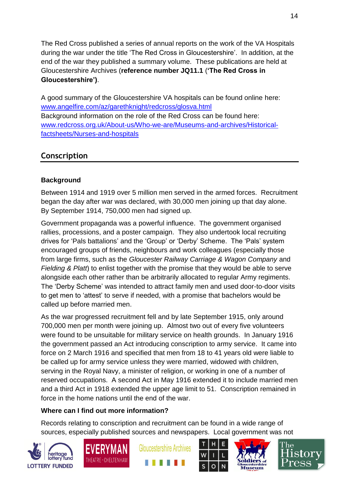The Red Cross published a series of annual reports on the work of the VA Hospitals during the war under the title 'The Red Cross in Gloucestershire'. In addition, at the end of the war they published a summary volume. These publications are held at Gloucestershire Archives (**reference number JQ11.1** (**'The Red Cross in Gloucestershire')**.

A good summary of the Gloucestershire VA hospitals can be found online here: [www.angelfire.com/az/garethknight/redcross/glosva.html](http://www.angelfire.com/az/garethknight/redcross/glosva.html) Background information on the role of the Red Cross can be found here: [www.redcross.org.uk/About-us/Who-we-are/Museums-and-archives/Historical](http://www.redcross.org.uk/About-us/Who-we-are/Museums-and-archives/Historical-factsheets/Nurses-and-hospitals)[factsheets/Nurses-and-hospitals](http://www.redcross.org.uk/About-us/Who-we-are/Museums-and-archives/Historical-factsheets/Nurses-and-hospitals)

# **Conscription**

# **Background**

Between 1914 and 1919 over 5 million men served in the armed forces. Recruitment began the day after war was declared, with 30,000 men joining up that day alone. By September 1914, 750,000 men had signed up.

Government propaganda was a powerful influence. The government organised rallies, processions, and a poster campaign. They also undertook local recruiting drives for 'Pals battalions' and the 'Group' or 'Derby' Scheme. The 'Pals' system encouraged groups of friends, neighbours and work colleagues (especially those from large firms, such as the *Gloucester Railway Carriage & Wagon Company* and *Fielding & Platt*) to enlist together with the promise that they would be able to serve alongside each other rather than be arbitrarily allocated to regular Army regiments. The 'Derby Scheme' was intended to attract family men and used door-to-door visits to get men to 'attest' to serve if needed, with a promise that bachelors would be called up before married men.

As the war progressed recruitment fell and by late September 1915, only around 700,000 men per month were joining up. Almost two out of every five volunteers were found to be unsuitable for military service on health grounds. In January 1916 the government passed an Act introducing conscription to army service. It came into force on 2 March 1916 and specified that men from 18 to 41 years old were liable to be called up for army service unless they were married, widowed with children, serving in the Royal Navy, a minister of religion, or working in one of a number of reserved occupations. A second Act in May 1916 extended it to include married men and a third Act in 1918 extended the upper age limit to 51. Conscription remained in force in the home nations until the end of the war.

## **Where can I find out more information?**

Records relating to conscription and recruitment can be found in a wide range of sources, especially published sources and newspapers. Local government was not











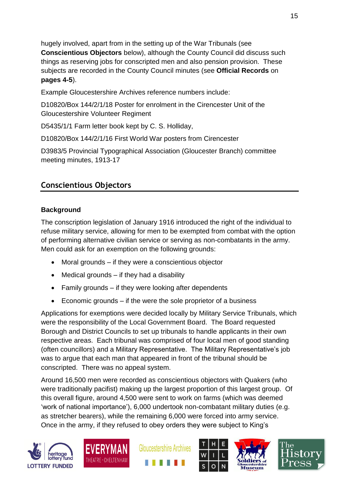hugely involved, apart from in the setting up of the War Tribunals (see **Conscientious Objectors** below), although the County Council did discuss such things as reserving jobs for conscripted men and also pension provision. These subjects are recorded in the County Council minutes (see **Official Records** on **pages 4-5**).

Example Gloucestershire Archives reference numbers include:

D10820/Box 144/2/1/18 Poster for enrolment in the Cirencester Unit of the Gloucestershire Volunteer Regiment

D5435/1/1 Farm letter book kept by C. S. Holliday,

D10820/Box 144/2/1/16 First World War posters from Cirencester

D3983/5 Provincial Typographical Association (Gloucester Branch) committee meeting minutes, 1913-17

# **Conscientious Objectors**

#### **Background**

The conscription legislation of January 1916 introduced the right of the individual to refuse military service, allowing for men to be exempted from combat with the option of performing alternative civilian service or serving as non-combatants in the army. Men could ask for an exemption on the following grounds:

- Moral grounds if they were a conscientious objector
- $\bullet$  Medical grounds if they had a disability
- Family grounds if they were looking after dependents
- Economic grounds if the were the sole proprietor of a business

Applications for exemptions were decided locally by Military Service Tribunals, which were the responsibility of the Local Government Board. The Board requested Borough and District Councils to set up tribunals to handle applicants in their own respective areas. Each tribunal was comprised of four local men of good standing (often councillors) and a Military Representative. The Military Representative's job was to argue that each man that appeared in front of the tribunal should be conscripted. There was no appeal system.

Around 16,500 men were recorded as conscientious objectors with Quakers (who were traditionally pacifist) making up the largest proportion of this largest group. Of this overall figure, around 4,500 were sent to work on farms (which was deemed 'work of national importance'), 6,000 undertook non-combatant military duties (e.g. as stretcher bearers), while the remaining 6,000 were forced into army service. Once in the army, if they refused to obey orders they were subject to King's











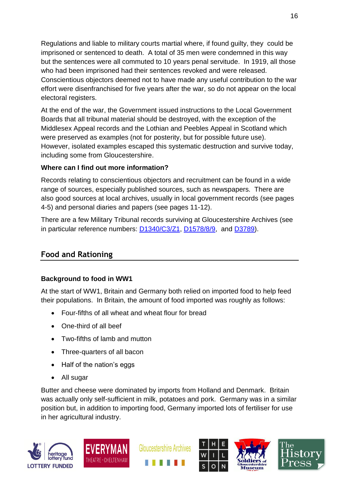Regulations and liable to military courts martial where, if found guilty, they could be imprisoned or sentenced to death. A total of 35 men were condemned in this way but the sentences were all commuted to 10 years penal servitude. In 1919, all those who had been imprisoned had their sentences revoked and were released. Conscientious objectors deemed not to have made any useful contribution to the war effort were disenfranchised for five years after the war, so do not appear on the local electoral registers.

At the end of the war, the Government issued instructions to the Local Government Boards that all tribunal material should be destroyed, with the exception of the Middlesex Appeal records and the Lothian and Peebles Appeal in Scotland which were preserved as examples (not for posterity, but for possible future use). However, isolated examples escaped this systematic destruction and survive today, including some from Gloucestershire.

## **Where can I find out more information?**

Records relating to conscientious objectors and recruitment can be found in a wide range of sources, especially published sources, such as newspapers. There are also good sources at local archives, usually in local government records (see pages 4-5) and personal diaries and papers (see pages 11-12).

There are a few Military Tribunal records surviving at Gloucestershire Archives (see in particular reference numbers: [D1340/C3/Z1,](http://ww3.gloucestershire.gov.uk/DServe/dserve.exe?dsqIni=DServeA.ini&dsqApp=Archive&dsqCmd=Show.tcl&dsqDb=Catalog&dsqPos=0&dsqSearch=%28%28text%29%3D%27military%20tribunals%27%29) [D1578/8/9,](http://ww3.gloucestershire.gov.uk/DServe/dserve.exe?dsqIni=DServeA.ini&dsqApp=Archive&dsqCmd=Show.tcl&dsqDb=Catalog&dsqPos=1&dsqSearch=%28%28%28text%29%3D%27thornbury%27%29%29AND%28%28%28text%29%3D%27tribunal%27%29%29) and [D3789\)](http://ww3.gloucestershire.gov.uk/DServe/dserve.exe?dsqIni=DServeA.ini&dsqApp=Archive&dsqCmd=Show.tcl&dsqDb=Catalog&dsqSearch=(((text)=).

# **Food and Rationing**

## **Background to food in WW1**

At the start of WW1, Britain and Germany both relied on imported food to help feed their populations. In Britain, the amount of food imported was roughly as follows:

- Four-fifths of all wheat and wheat flour for bread
- One-third of all beef
- Two-fifths of lamb and mutton
- Three-quarters of all bacon
- Half of the nation's eggs
- All sugar

Butter and cheese were dominated by imports from Holland and Denmark. Britain was actually only self-sufficient in milk, potatoes and pork. Germany was in a similar position but, in addition to importing food, Germany imported lots of fertiliser for use in her agricultural industry.











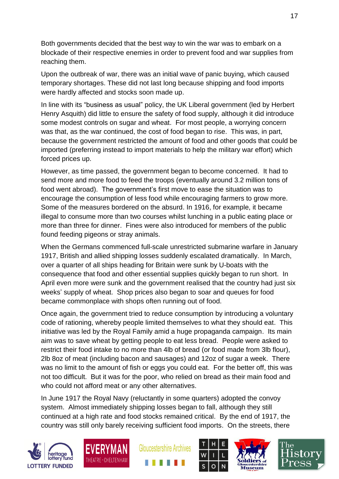Both governments decided that the best way to win the war was to embark on a blockade of their respective enemies in order to prevent food and war supplies from reaching them.

Upon the outbreak of war, there was an initial wave of panic buying, which caused temporary shortages. These did not last long because shipping and food imports were hardly affected and stocks soon made up.

In line with its "business as usual" policy, the UK Liberal government (led by Herbert Henry Asquith) did little to ensure the safety of food supply, although it did introduce some modest controls on sugar and wheat. For most people, a worrying concern was that, as the war continued, the cost of food began to rise. This was, in part, because the government restricted the amount of food and other goods that could be imported (preferring instead to import materials to help the military war effort) which forced prices up.

However, as time passed, the government began to become concerned. It had to send more and more food to feed the troops (eventually around 3.2 million tons of food went abroad). The government's first move to ease the situation was to encourage the consumption of less food while encouraging farmers to grow more. Some of the measures bordered on the absurd. In 1916, for example, it became illegal to consume more than two courses whilst lunching in a public eating place or more than three for dinner. Fines were also introduced for members of the public found feeding pigeons or stray animals.

When the Germans commenced full-scale unrestricted submarine warfare in January 1917, British and allied shipping losses suddenly escalated dramatically. In March, over a quarter of all ships heading for Britain were sunk by U-boats with the consequence that food and other essential supplies quickly began to run short. In April even more were sunk and the government realised that the country had just six weeks' supply of wheat. Shop prices also began to soar and queues for food became commonplace with shops often running out of food.

Once again, the government tried to reduce consumption by introducing a voluntary code of rationing, whereby people limited themselves to what they should eat. This initiative was led by the Royal Family amid a huge propaganda campaign. Its main aim was to save wheat by getting people to eat less bread. People were asked to restrict their food intake to no more than 4lb of bread (or food made from 3lb flour), 2lb 8oz of meat (including bacon and sausages) and 12oz of sugar a week. There was no limit to the amount of fish or eggs you could eat. For the better off, this was not too difficult. But it was for the poor, who relied on bread as their main food and who could not afford meat or any other alternatives.

In June 1917 the Royal Navy (reluctantly in some quarters) adopted the convoy system. Almost immediately shipping losses began to fall, although they still continued at a high rate and food stocks remained critical. By the end of 1917, the country was still only barely receiving sufficient food imports. On the streets, there











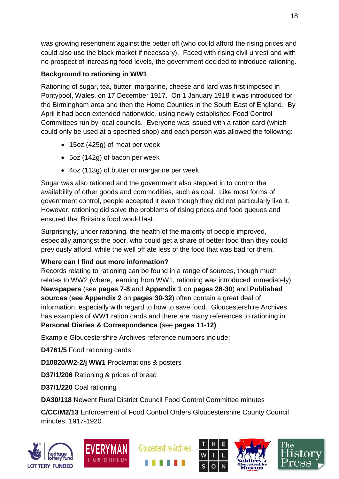was growing resentment against the better off (who could afford the rising prices and could also use the black market if necessary). Faced with rising civil unrest and with no prospect of increasing food levels, the government decided to introduce rationing.

# **Background to rationing in WW1**

Rationing of sugar, tea, butter, margarine, cheese and lard was first imposed in Pontypool, Wales, on 17 December 1917. On 1 January 1918 it was introduced for the Birmingham area and then the Home Counties in the South East of England. By April it had been extended nationwide, using newly established Food Control Committees run by local councils. Everyone was issued with a ration card (which could only be used at a specified shop) and each person was allowed the following:

- 15oz (425g) of meat per week
- 5oz (142g) of bacon per week
- 4oz (113g) of butter or margarine per week

Sugar was also rationed and the government also stepped in to control the availability of other goods and commodities, such as coal. Like most forms of government control, people accepted it even though they did not particularly like it. However, rationing did solve the problems of rising prices and food queues and ensured that Britain's food would last.

Surprisingly, under rationing, the health of the majority of people improved, especially amongst the poor, who could get a share of better food than they could previously afford, while the well off ate less of the food that was bad for them.

# **Where can I find out more information?**

Records relating to rationing can be found in a range of sources, though much relates to WW2 (where, learning from WW1, rationing was introduced immediately). **Newspapers** (see **pages 7-8** and **Appendix 1** on **pages 28-30**) and **Published sources** (**see Appendix 2** on **pages 30-32**) often contain a great deal of information, especially with regard to how to save food. Gloucestershire Archives has examples of WW1 ration cards and there are many references to rationing in **Personal Diaries & Correspondence** (see **pages 11-12)**.

Example Gloucestershire Archives reference numbers include:

**D4761/5** Food rationing cards

**D10820/W2-2/j WW1** Proclamations & posters

**D37/1/206** Rationing & prices of bread

**D37/1/220** Coal rationing

**DA30/118** Newent Rural District Council Food Control Committee minutes

**C/CC/M2/13** Enforcement of Food Control Orders Gloucestershire County Council minutes, 1917-1920











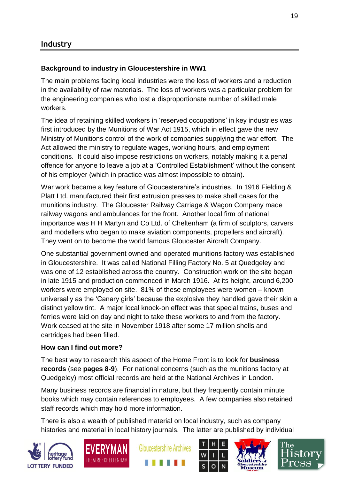# **Background to industry in Gloucestershire in WW1**

The main problems facing local industries were the loss of workers and a reduction in the availability of raw materials. The loss of workers was a particular problem for the engineering companies who lost a disproportionate number of skilled male workers.

The idea of retaining skilled workers in 'reserved occupations' in key industries was first introduced by the Munitions of War Act 1915, which in effect gave the new Ministry of Munitions control of the work of companies supplying the war effort. The Act allowed the ministry to regulate wages, working hours, and employment conditions. It could also impose restrictions on workers, notably making it a penal offence for anyone to leave a job at a 'Controlled Establishment' without the consent of his employer (which in practice was almost impossible to obtain).

War work became a key feature of Gloucestershire's industries. In 1916 Fielding & Platt Ltd. manufactured their first extrusion presses to make shell cases for the munitions industry. The Gloucester Railway Carriage & Wagon Company made railway wagons and ambulances for the front. Another local firm of national importance was H H Martyn and Co Ltd. of Cheltenham (a firm of sculptors, carvers and modellers who began to make aviation components, propellers and aircraft). They went on to become the world famous Gloucester Aircraft Company.

One substantial government owned and operated munitions factory was established in Gloucestershire. It was called National Filling Factory No. 5 at Quedgeley and was one of 12 established across the country. Construction work on the site began in late 1915 and production commenced in March 1916. At its height, around 6,200 workers were employed on site. 81% of these employees were women – known universally as the 'Canary girls' because the explosive they handled gave their skin a distinct yellow tint. A major local knock-on effect was that special trains, buses and ferries were laid on day and night to take these workers to and from the factory. Work ceased at the site in November 1918 after some 17 million shells and cartridges had been filled.

#### **How can I find out more?**

The best way to research this aspect of the Home Front is to look for **business records** (see **pages 8-9**). For national concerns (such as the munitions factory at Quedgeley) most official records are held at the National Archives in London.

Many business records are financial in nature, but they frequently contain minute books which may contain references to employees. A few companies also retained staff records which may hold more information.

There is also a wealth of published material on local industry, such as company histories and material in local history journals. The latter are published by individual











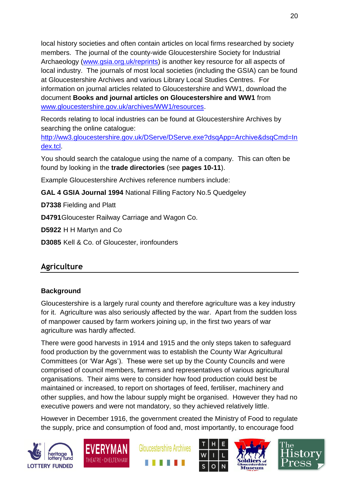local history societies and often contain articles on local firms researched by society members. The journal of the county-wide Gloucestershire Society for Industrial Archaeology [\(www.gsia.org.uk/reprints\)](http://www.gsia.org.uk/reprints) is another key resource for all aspects of local industry. The journals of most local societies (including the GSIA) can be found at Gloucestershire Archives and various Library Local Studies Centres. For information on journal articles related to Gloucestershire and WW1, download the document **Books and journal articles on Gloucestershire and WW1** from [www.gloucestershire.gov.uk/archives/WW1/resources.](http://www.gloucestershire.gov.uk/archives/WW1/resources)

Records relating to local industries can be found at Gloucestershire Archives by searching the online catalogue:

[http://ww3.gloucestershire.gov.uk/DServe/DServe.exe?dsqApp=Archive&dsqCmd=In](http://ww3.gloucestershire.gov.uk/DServe/DServe.exe?dsqApp=Archive&dsqCmd=Index.tcl) [dex.tcl.](http://ww3.gloucestershire.gov.uk/DServe/DServe.exe?dsqApp=Archive&dsqCmd=Index.tcl)

You should search the catalogue using the name of a company. This can often be found by looking in the **trade directories** (see **pages 10-11**).

Example Gloucestershire Archives reference numbers include:

**GAL 4 GSIA Journal 1994** National Filling Factory No.5 Quedgeley

**D7338** Fielding and Platt

**D4791**Gloucester Railway Carriage and Wagon Co.

**D5922** H H Martyn and Co

**D3085** Kell & Co. of Gloucester, ironfounders

# **Agriculture**

# **Background**

Gloucestershire is a largely rural county and therefore agriculture was a key industry for it. Agriculture was also seriously affected by the war. Apart from the sudden loss of manpower caused by farm workers joining up, in the first two years of war agriculture was hardly affected.

There were good harvests in 1914 and 1915 and the only steps taken to safeguard food production by the government was to establish the County War Agricultural Committees (or 'War Ags'). These were set up by the County Councils and were comprised of council members, farmers and representatives of various agricultural organisations. Their aims were to consider how food production could best be maintained or increased, to report on shortages of feed, fertiliser, machinery and other supplies, and how the labour supply might be organised. However they had no executive powers and were not mandatory, so they achieved relatively little.

However in December 1916, the government created the Ministry of Food to regulate the supply, price and consumption of food and, most importantly, to encourage food











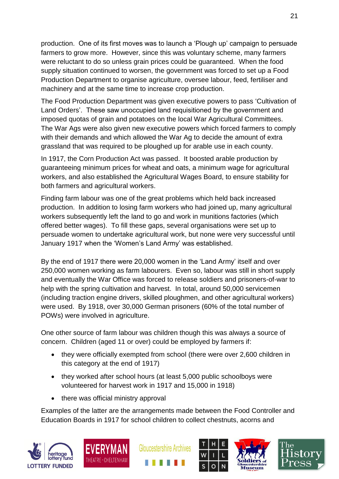production. One of its first moves was to launch a 'Plough up' campaign to persuade farmers to grow more. However, since this was voluntary scheme, many farmers were reluctant to do so unless grain prices could be guaranteed. When the food supply situation continued to worsen, the government was forced to set up a Food Production Department to organise agriculture, oversee labour, feed, fertiliser and machinery and at the same time to increase crop production.

The Food Production Department was given executive powers to pass 'Cultivation of Land Orders'. These saw unoccupied land requisitioned by the government and imposed quotas of grain and potatoes on the local War Agricultural Committees. The War Ags were also given new executive powers which forced farmers to comply with their demands and which allowed the War Ag to decide the amount of extra grassland that was required to be ploughed up for arable use in each county.

In 1917, the Corn Production Act was passed. It boosted arable production by guaranteeing minimum prices for wheat and oats, a minimum wage for agricultural workers, and also established the Agricultural Wages Board, to ensure stability for both farmers and agricultural workers.

Finding farm labour was one of the great problems which held back increased production. In addition to losing farm workers who had joined up, many agricultural workers subsequently left the land to go and work in munitions factories (which offered better wages). To fill these gaps, several organisations were set up to persuade women to undertake agricultural work, but none were very successful until January 1917 when the 'Women's Land Army' was established.

By the end of 1917 there were 20,000 women in the 'Land Army' itself and over 250,000 women working as farm labourers. Even so, labour was still in short supply and eventually the War Office was forced to release soldiers and prisoners-of-war to help with the spring cultivation and harvest. In total, around 50,000 servicemen (including traction engine drivers, skilled ploughmen, and other agricultural workers) were used. By 1918, over 30,000 German prisoners (60% of the total number of POWs) were involved in agriculture.

One other source of farm labour was children though this was always a source of concern. Children (aged 11 or over) could be employed by farmers if:

- they were officially exempted from school (there were over 2,600 children in this category at the end of 1917)
- they worked after school hours (at least 5,000 public schoolboys were volunteered for harvest work in 1917 and 15,000 in 1918)
- there was official ministry approval

Examples of the latter are the arrangements made between the Food Controller and Education Boards in 1917 for school children to collect chestnuts, acorns and











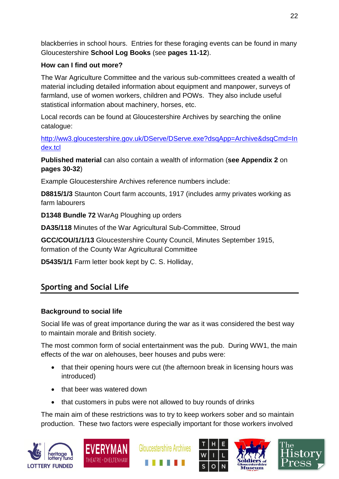blackberries in school hours. Entries for these foraging events can be found in many Gloucestershire **School Log Books** (see **pages 11-12**).

# **How can I find out more?**

The War Agriculture Committee and the various sub-committees created a wealth of material including detailed information about equipment and manpower, surveys of farmland, use of women workers, children and POWs. They also include useful statistical information about machinery, horses, etc.

Local records can be found at Gloucestershire Archives by searching the online catalogue:

[http://ww3.gloucestershire.gov.uk/DServe/DServe.exe?dsqApp=Archive&dsqCmd=In](http://ww3.gloucestershire.gov.uk/DServe/DServe.exe?dsqApp=Archive&dsqCmd=Index.tcl) [dex.tcl](http://ww3.gloucestershire.gov.uk/DServe/DServe.exe?dsqApp=Archive&dsqCmd=Index.tcl)

**Published material** can also contain a wealth of information (**see Appendix 2** on **pages 30-32**)

Example Gloucestershire Archives reference numbers include:

**D8815/1/3** Staunton Court farm accounts, 1917 (includes army privates working as farm labourers

**D1348 Bundle 72** WarAg Ploughing up orders

**DA35/118** Minutes of the War Agricultural Sub-Committee, Stroud

**GCC/COU/1/1/13** Gloucestershire County Council, Minutes September 1915, formation of the County War Agricultural Committee

**D5435/1/1** Farm letter book kept by C. S. Holliday,

# **Sporting and Social Life**

# **Background to social life**

Social life was of great importance during the war as it was considered the best way to maintain morale and British society.

The most common form of social entertainment was the pub. During WW1, the main effects of the war on alehouses, beer houses and pubs were:

- that their opening hours were cut (the afternoon break in licensing hours was introduced)
- that beer was watered down
- that customers in pubs were not allowed to buy rounds of drinks

The main aim of these restrictions was to try to keep workers sober and so maintain production. These two factors were especially important for those workers involved











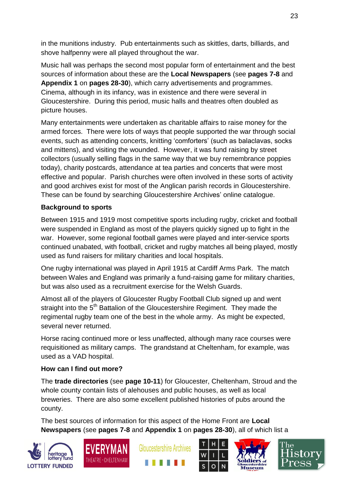in the munitions industry. Pub entertainments such as skittles, darts, billiards, and shove halfpenny were all played throughout the war.

Music hall was perhaps the second most popular form of entertainment and the best sources of information about these are the **Local Newspapers** (see **pages 7-8** and **Appendix 1** on **pages 28-30**), which carry advertisements and programmes. Cinema, although in its infancy, was in existence and there were several in Gloucestershire. During this period, music halls and theatres often doubled as picture houses.

Many entertainments were undertaken as charitable affairs to raise money for the armed forces. There were lots of ways that people supported the war through social events, such as attending concerts, knitting 'comforters' (such as balaclavas, socks and mittens), and visiting the wounded. However, it was fund raising by street collectors (usually selling flags in the same way that we buy remembrance poppies today), charity postcards, attendance at tea parties and concerts that were most effective and popular. Parish churches were often involved in these sorts of activity and good archives exist for most of the Anglican parish records in Gloucestershire. These can be found by searching Gloucestershire Archives' online catalogue.

# **Background to sports**

Between 1915 and 1919 most competitive sports including rugby, cricket and football were suspended in England as most of the players quickly signed up to fight in the war. However, some regional football games were played and inter-service sports continued unabated, with football, cricket and rugby matches all being played, mostly used as fund raisers for military charities and local hospitals.

One rugby international was played in April 1915 at Cardiff Arms Park. The match between Wales and England was primarily a fund-raising game for military charities, but was also used as a recruitment exercise for the Welsh Guards.

Almost all of the players of Gloucester Rugby Football Club signed up and went straight into the 5<sup>th</sup> Battalion of the Gloucestershire Regiment. They made the regimental rugby team one of the best in the whole army. As might be expected, several never returned.

Horse racing continued more or less unaffected, although many race courses were requisitioned as military camps. The grandstand at Cheltenham, for example, was used as a VAD hospital.

## **How can I find out more?**

The **trade directories** (see **page 10-11**) for Gloucester, Cheltenham, Stroud and the whole county contain lists of alehouses and public houses, as well as local breweries. There are also some excellent published histories of pubs around the county.

The best sources of information for this aspect of the Home Front are **Local Newspapers** (see **pages 7-8** and **Appendix 1** on **pages 28-30**), all of which list a











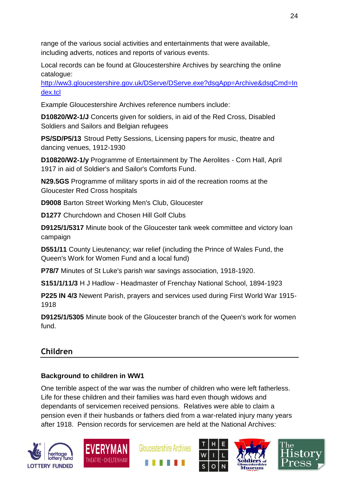range of the various social activities and entertainments that were available, including adverts, notices and reports of various events.

Local records can be found at Gloucestershire Archives by searching the online catalogue:

[http://ww3.gloucestershire.gov.uk/DServe/DServe.exe?dsqApp=Archive&dsqCmd=In](http://ww3.gloucestershire.gov.uk/DServe/DServe.exe?dsqApp=Archive&dsqCmd=Index.tcl) [dex.tcl](http://ww3.gloucestershire.gov.uk/DServe/DServe.exe?dsqApp=Archive&dsqCmd=Index.tcl)

Example Gloucestershire Archives reference numbers include:

**D10820/W2-1/J** Concerts given for soldiers, in aid of the Red Cross, Disabled Soldiers and Sailors and Belgian refugees

**PS/SD/P5/13** Stroud Petty Sessions, Licensing papers for music, theatre and dancing venues, 1912-1930

**D10820/W2-1/y** Programme of Entertainment by The Aerolites - Corn Hall, April 1917 in aid of Soldier's and Sailor's Comforts Fund.

**N29.5GS** Programme of military sports in aid of the recreation rooms at the Gloucester Red Cross hospitals

**D9008** Barton Street Working Men's Club, Gloucester

**D1277** Churchdown and Chosen Hill Golf Clubs

**D9125/1/5317** Minute book of the Gloucester tank week committee and victory loan campaign

**D551/11** County Lieutenancy; war relief (including the Prince of Wales Fund, the Queen's Work for Women Fund and a local fund)

**P78/7** Minutes of St Luke's parish war savings association, 1918-1920.

**S151/1/11/3** H J Hadlow - Headmaster of Frenchay National School, 1894-1923

**P225 IN 4/3** Newent Parish, prayers and services used during First World War 1915- 1918

**D9125/1/5305** Minute book of the Gloucester branch of the Queen's work for women fund.

# **Children**

# **Background to children in WW1**

One terrible aspect of the war was the number of children who were left fatherless. Life for these children and their families was hard even though widows and dependants of servicemen received pensions. Relatives were able to claim a pension even if their husbands or fathers died from a war-related injury many years after 1918. Pension records for servicemen are held at the National Archives:











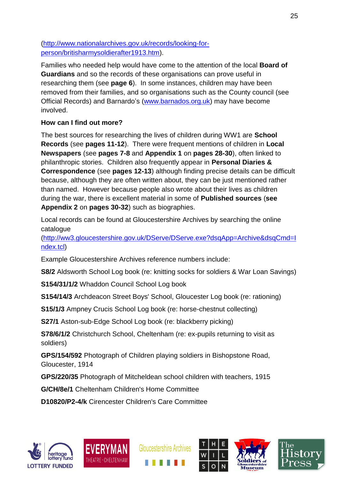[\(http://www.nationalarchives.gov.uk/records/looking-for](http://www.nationalarchives.gov.uk/records/looking-for-person/britisharmysoldierafter1913.htm)[person/britisharmysoldierafter1913.htm\)](http://www.nationalarchives.gov.uk/records/looking-for-person/britisharmysoldierafter1913.htm).

Families who needed help would have come to the attention of the local **Board of Guardians** and so the records of these organisations can prove useful in researching them (see **page 6**). In some instances, children may have been removed from their families, and so organisations such as the County council (see Official Records) and Barnardo's [\(www.barnados.org.uk\)](http://www.barnados.org.uk/) may have become involved.

# **How can I find out more?**

The best sources for researching the lives of children during WW1 are **School Records** (see **pages 11-12**). There were frequent mentions of children in **Local Newspapers** (see **pages 7-8** and **Appendix 1** on **pages 28-30**), often linked to philanthropic stories. Children also frequently appear in **Personal Diaries & Correspondence** (see **pages 12-13**) although finding precise details can be difficult because, although they are often written about, they can be just mentioned rather than named. However because people also wrote about their lives as children during the war, there is excellent material in some of **Published sources** (**see Appendix 2** on **pages 30-32**) such as biographies.

Local records can be found at Gloucestershire Archives by searching the online catalogue

[\(http://ww3.gloucestershire.gov.uk/DServe/DServe.exe?dsqApp=Archive&dsqCmd=I](http://ww3.gloucestershire.gov.uk/DServe/DServe.exe?dsqApp=Archive&dsqCmd=Index.tcl) [ndex.tcl\)](http://ww3.gloucestershire.gov.uk/DServe/DServe.exe?dsqApp=Archive&dsqCmd=Index.tcl)

Example Gloucestershire Archives reference numbers include:

**S8/2** Aldsworth School Log book (re: knitting socks for soldiers & War Loan Savings)

**S154/31/1/2** Whaddon Council School Log book

**S154/14/3** Archdeacon Street Boys' School, Gloucester Log book (re: rationing)

**S15/1/3** Ampney Crucis School Log book (re: horse-chestnut collecting)

**S27/1** Aston-sub-Edge School Log book (re: blackberry picking)

**S78/6/1/2** Christchurch School, Cheltenham (re: ex-pupils returning to visit as soldiers)

**GPS/154/592** Photograph of Children playing soldiers in Bishopstone Road, Gloucester, 1914

**GPS/220/35** Photograph of Mitcheldean school children with teachers, 1915

**G/CH/8e/1** Cheltenham Children's Home Committee

**D10820/P2-4/k** Cirencester Children's Care Committee









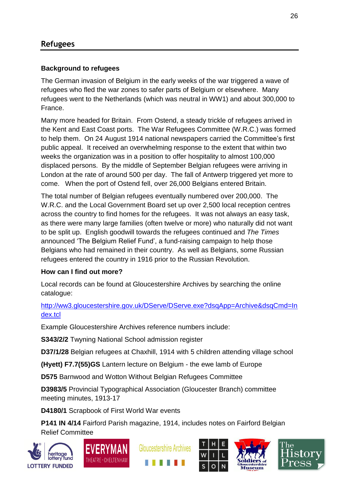# **Background to refugees**

The German invasion of Belgium in the early weeks of the war triggered a wave of refugees who fled the war zones to safer parts of Belgium or elsewhere. Many refugees went to the Netherlands (which was neutral in WW1) and about 300,000 to France.

Many more headed for Britain. From Ostend, a steady trickle of refugees arrived in the Kent and East Coast ports. The War Refugees Committee (W.R.C.) was formed to help them. On 24 August 1914 national newspapers carried the Committee's first public appeal. It received an overwhelming response to the extent that within two weeks the organization was in a position to offer hospitality to almost 100,000 displaced persons. By the middle of September Belgian refugees were arriving in London at the rate of around 500 per day. The fall of Antwerp triggered yet more to come. When the port of Ostend fell, over 26,000 Belgians entered Britain.

The total number of Belgian refugees eventually numbered over 200,000. The W.R.C. and the Local Government Board set up over 2,500 local reception centres across the country to find homes for the refugees. It was not always an easy task, as there were many large families (often twelve or more) who naturally did not want to be split up. English goodwill towards the refugees continued and *The Times* announced 'The Belgium Relief Fund', a fund-raising campaign to help those Belgians who had remained in their country. As well as Belgians, some Russian refugees entered the country in 1916 prior to the Russian Revolution.

# **How can I find out more?**

Local records can be found at Gloucestershire Archives by searching the online catalogue:

## [http://ww3.gloucestershire.gov.uk/DServe/DServe.exe?dsqApp=Archive&dsqCmd=In](http://ww3.gloucestershire.gov.uk/DServe/DServe.exe?dsqApp=Archive&dsqCmd=Index.tcl) [dex.tcl](http://ww3.gloucestershire.gov.uk/DServe/DServe.exe?dsqApp=Archive&dsqCmd=Index.tcl)

Example Gloucestershire Archives reference numbers include:

**S343/2/2** Twyning National School admission register

**D37/1/28** Belgian refugees at Chaxhill, 1914 with 5 children attending village school

**(Hyett) F7.7(55)GS** Lantern lecture on Belgium - the ewe lamb of Europe

**D575** Barnwood and Wotton Without Belgian Refugees Committee

**D3983/5** Provincial Typographical Association (Gloucester Branch) committee meeting minutes, 1913-17

**D4180/1** Scrapbook of First World War events

**P141 IN 4/14** Fairford Parish magazine, 1914, includes notes on Fairford Belgian Relief Committee











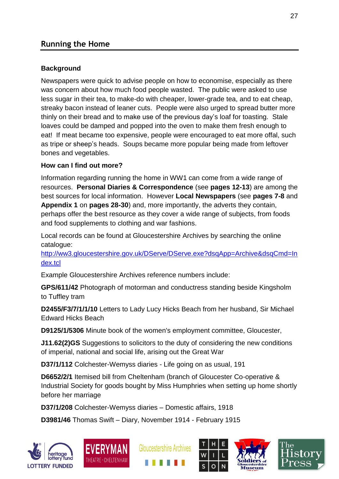# **Running the Home**

## **Background**

Newspapers were quick to advise people on how to economise, especially as there was concern about how much food people wasted. The public were asked to use less sugar in their tea, to make-do with cheaper, lower-grade tea, and to eat cheap, streaky bacon instead of leaner cuts. People were also urged to spread butter more thinly on their bread and to make use of the previous day's loaf for toasting. Stale loaves could be damped and popped into the oven to make them fresh enough to eat! If meat became too expensive, people were encouraged to eat more offal, such as tripe or sheep's heads. Soups became more popular being made from leftover bones and vegetables.

# **How can I find out more?**

Information regarding running the home in WW1 can come from a wide range of resources. **Personal Diaries & Correspondence** (see **pages 12-13**) are among the best sources for local information. However **Local Newspapers** (see **pages 7-8** and **Appendix 1** on **pages 28-30**) and, more importantly, the adverts they contain, perhaps offer the best resource as they cover a wide range of subjects, from foods and food supplements to clothing and war fashions.

Local records can be found at Gloucestershire Archives by searching the online catalogue:

[http://ww3.gloucestershire.gov.uk/DServe/DServe.exe?dsqApp=Archive&dsqCmd=In](http://ww3.gloucestershire.gov.uk/DServe/DServe.exe?dsqApp=Archive&dsqCmd=Index.tcl) [dex.tcl](http://ww3.gloucestershire.gov.uk/DServe/DServe.exe?dsqApp=Archive&dsqCmd=Index.tcl)

Example Gloucestershire Archives reference numbers include:

**GPS/611/42** Photograph of motorman and conductress standing beside Kingsholm to Tuffley tram

**D2455/F3/7/1/1/10** Letters to Lady Lucy Hicks Beach from her husband, Sir Michael Edward Hicks Beach

**D9125/1/5306** Minute book of the women's employment committee, Gloucester,

**J11.62(2)GS** Suggestions to solicitors to the duty of considering the new conditions of imperial, national and social life, arising out the Great War

**D37/1/112** Colchester-Wemyss diaries - Life going on as usual, 191

**D6652/2/1** Itemised bill from Cheltenham (branch of Gloucester Co-operative & Industrial Society for goods bought by Miss Humphries when setting up home shortly before her marriage

**D37/1/208** Colchester-Wemyss diaries – Domestic affairs, 1918

**D3981/46** Thomas Swift – Diary, November 1914 - February 1915











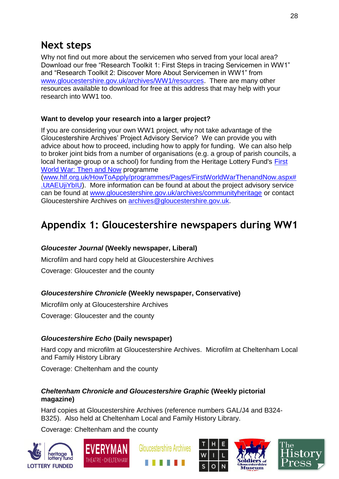# **Next steps**

Why not find out more about the servicemen who served from your local area? Download our free "Research Toolkit 1: First Steps in tracing Servicemen in WW1" and "Research Toolkit 2: Discover More About Servicemen in WW1" from [www.gloucestershire.gov.uk/archives/WW1/resources.](http://www.gloucestershire.gov.uk/archives/WW1/resources) There are many other resources available to download for free at this address that may help with your research into WW1 too.

## **Want to develop your research into a larger project?**

If you are considering your own WW1 project, why not take advantage of the Gloucestershire Archives' Project Advisory Service? We can provide you with advice about how to proceed, including how to apply for funding. We can also help to broker joint bids from a number of organisations (e.g. a group of parish councils, a local heritage group or a school) for funding from the Heritage Lottery Fund's [First](http://www.hlf.org.uk/HowToApply/programmes/Pages/FirstWorldWarThenandNow.aspx)  [World War: Then and Now](http://www.hlf.org.uk/HowToApply/programmes/Pages/FirstWorldWarThenandNow.aspx) programme

[\(www.hlf.org.uk/HowToApply/programmes/Pages/FirstWorldWarThenandNow.aspx#](http://www.hlf.org.uk/HowToApply/programmes/Pages/FirstWorldWarThenandNow.aspx#.UtAEUjiYbIU) [.UtAEUjiYbIU\)](http://www.hlf.org.uk/HowToApply/programmes/Pages/FirstWorldWarThenandNow.aspx#.UtAEUjiYbIU). More information can be found at about the project advisory service can be found at [www.gloucestershire.gov.uk/archives/communityheritage](http://www.gloucestershire.gov.uk/archives/communityheritage) or contact Gloucestershire Archives on [archives@gloucestershire.gov.uk.](mailto:archives@gloucestershire.gov.uk)

# **Appendix 1: Gloucestershire newspapers during WW1**

#### *Gloucester Journal* **(Weekly newspaper, Liberal)**

Microfilm and hard copy held at Gloucestershire Archives

Coverage: Gloucester and the county

## *Gloucestershire Chronicle* **(Weekly newspaper, Conservative)**

Microfilm only at Gloucestershire Archives

Coverage: Gloucester and the county

## *Gloucestershire Echo* **(Daily newspaper)**

Hard copy and microfilm at Gloucestershire Archives. Microfilm at Cheltenham Local and Family History Library

Coverage: Cheltenham and the county

#### *Cheltenham Chronicle and Gloucestershire Graphic* **(Weekly pictorial magazine)**

Hard copies at Gloucestershire Archives (reference numbers GAL/J4 and B324- B325). Also held at Cheltenham Local and Family History Library.

Coverage: Cheltenham and the county









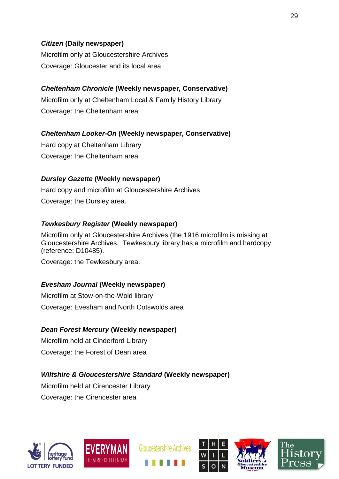## *Citizen* **(Daily newspaper)**

Microfilm only at Gloucestershire Archives Coverage: Gloucester and its local area

# *Cheltenham Chronicle* **(Weekly newspaper, Conservative)**

Microfilm only at Cheltenham Local & Family History Library Coverage: the Cheltenham area

# *Cheltenham Looker-On* **(Weekly newspaper, Conservative)**

Hard copy at Cheltenham Library Coverage: the Cheltenham area

# *Dursley Gazette* **(Weekly newspaper)**

Hard copy and microfilm at Gloucestershire Archives Coverage: the Dursley area.

# *Tewkesbury Register* **(Weekly newspaper)**

Microfilm only at Gloucestershire Archives (the 1916 microfilm is missing at Gloucestershire Archives. Tewkesbury library has a microfilm and hardcopy (reference: D10485).

Coverage: the Tewkesbury area.

# *Evesham Journal* **(Weekly newspaper)**

Microfilm at Stow-on-the-Wold library Coverage: Evesham and North Cotswolds area

# *Dean Forest Mercury* **(Weekly newspaper)**

Microfilm held at Cinderford Library Coverage: the Forest of Dean area

# *Wiltshire & Gloucestershire Standard* **(Weekly newspaper)**

Microfilm held at Cirencester Library Coverage: the Cirencester area











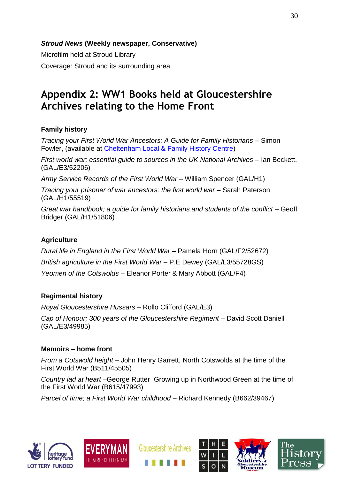*Stroud News* **(Weekly newspaper, Conservative)**

Microfilm held at Stroud Library Coverage: Stroud and its surrounding area

# **Appendix 2: WW1 Books held at Gloucestershire Archives relating to the Home Front**

# **Family history**

*Tracing your First World War Ancestors; A Guide for Family Historians* – Simon Fowler, (available at [Cheltenham Local & Family History Centre\)](http://www.gloucestershire.gov.uk/archives/article/109250/Cheltenham-Local-and-Family-History-Centre)

*First world war; essential guide to sources in the UK National Archives* – Ian Beckett, (GAL/E3/52206)

*Army Service Records of the First World War* – William Spencer (GAL/H1)

*Tracing your prisoner of war ancestors: the first world war* – Sarah Paterson, (GAL/H1/55519)

*Great war handbook; a guide for family historians and students of the conflict* – Geoff Bridger (GAL/H1/51806)

# **Agriculture**

*Rural life in England in the First World War* – Pamela Horn (GAL/F2/52672) *British agriculture in the First World War* – P.E Dewey (GAL/L3/55728GS) *Yeomen of the Cotswolds* – Eleanor Porter & Mary Abbott (GAL/F4)

# **Regimental history**

*Royal Gloucestershire Hussars* – Rollo Clifford (GAL/E3)

*Cap of Honour; 300 years of the Gloucestershire Regiment – David Scott Daniell* (GAL/E3/49985)

## **Memoirs – home front**

*From a Cotswold height* – John Henry Garrett, North Cotswolds at the time of the First World War (B511/45505)

*Country lad at heart* –George Rutter Growing up in Northwood Green at the time of the First World War (B615/47993)

*Parcel of time; a First World War childhood* – Richard Kennedy (B662/39467)









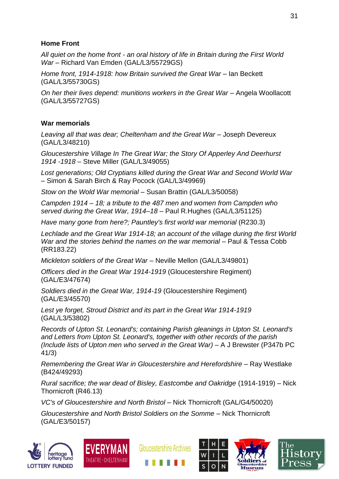## **Home Front**

*All quiet on the home front - an oral history of life in Britain during the First World War* – Richard Van Emden (GAL/L3/55729GS)

*Home front, 1914-1918: how Britain survived the Great War* – Ian Beckett (GAL/L3/55730GS)

*On her their lives depend: munitions workers in the Great War* – Angela Woollacott (GAL/L3/55727GS)

# **War memorials**

*Leaving all that was dear; Cheltenham and the Great War* – Joseph Devereux (GAL/L3/48210)

*Gloucestershire Village In The Great War; the Story Of Apperley And Deerhurst 1914 -1918* – Steve Miller (GAL/L3/49055)

*Lost generations; Old Cryptians killed during the Great War and Second World War –* Simon & Sarah Birch & Ray Pocock (GAL/L3/49969)

*Stow on the Wold War memorial* – Susan Brattin (GAL/L3/50058)

*Campden 1914 – 18; a tribute to the 487 men and women from Campden who served during the Great War, 1914–18* – Paul R.Hughes (GAL/L3/51125)

*Have many gone from here?; Pauntley's first world war memorial* (R230.3)

*Lechlade and the Great War 1914-18; an account of the village during the first World War and the stories behind the names on the war memorial* – Paul & Tessa Cobb (RR183.22)

*Mickleton soldiers of the Great War* – Neville Mellon (GAL/L3/49801)

*Officers died in the Great War 1914-1919* (Gloucestershire Regiment) (GAL/E3/47674)

*Soldiers died in the Great War, 1914-19* (Gloucestershire Regiment) (GAL/E3/45570)

*Lest ye forget, Stroud District and its part in the Great War 1914-1919* (GAL/L3/53802)

*Records of Upton St. Leonard's; containing Parish gleanings in Upton St. Leonard's and Letters from Upton St. Leonard's, together with other records of the parish (Include lists of Upton men who served in the Great War)* – A J Brewster (P347b PC 41/3)

*Remembering the Great War in Gloucestershire and Herefordshire* – Ray Westlake (B424/49293)

*Rural sacrifice; the war dead of Bisley, Eastcombe and Oakridge* (1914-1919) – Nick Thornicroft (R46.13)

*VC's of Gloucestershire and North Bristol* – Nick Thornicroft (GAL/G4/50020)

*Gloucestershire and North Bristol Soldiers on the Somme* – Nick Thornicroft (GAL/E3/50157)